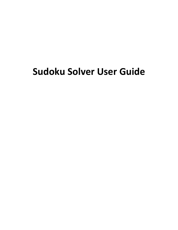# **Sudoku Solver User Guide**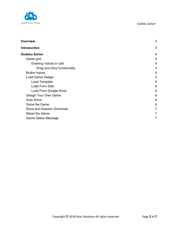

| <b>Overview</b>                | 3 |
|--------------------------------|---|
| <b>Introduction</b>            | 4 |
| <b>Sudoku Solver</b>           | 4 |
| Game grid                      | 4 |
| <b>Entering Values in Cell</b> | 4 |
| Drag and Drop functionality    | 4 |
| <b>Button Inputs</b>           | 4 |
| Load Game Design               | 5 |
| Load Template                  | 6 |
| Load From Disk                 | 6 |
| Load From Google Drive         | 6 |
| Design Your Own Game           | 6 |
| <b>Auto Solve</b>              | 6 |
| Solve the Game                 | 6 |
| Solve and Solution Download    | 7 |
| <b>Reset the Game</b>          | 7 |
| Game Status Message            | 7 |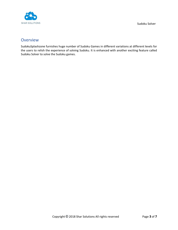

# <span id="page-2-0"></span>**Overview**

SudokuSplashzone furnishes huge number of Sudoku Games in different variations at different levels for the users to relish the experience of solving Sudoku. It is enhanced with another exciting feature called Sudoku Solver to solve the Sudoku games.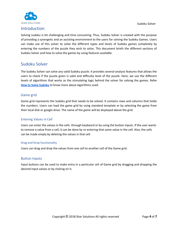Sudoku Solver



# <span id="page-3-0"></span>Introduction

Solving sudoku is bit challenging and time consuming. Thus, Sudoku Solver is created with the purpose of providing a synergetic and an assisting environment to the users for solving the Sudoku Games. Users can make use of this solver to solve the different types and levels of Sudoku games completely by entering the numbers of the puzzle they wish to solve. This document briefs the different sections of Sudoku Solver and how to solve the games by using features available.

# <span id="page-3-1"></span>Sudoku Solver

The Sudoku Solver can solve any valid Sudoku puzzle. It provides several analysis features that allows the users to check if the puzzle given is valid and difficulty level of the puzzle. Here, we use the different levels of algorithms that works as the stimulating logic behind the solver for solving the games. Refer **[How to Solve Sudoku](https://www.sudokusplashzone.com/gen/helpsupport/rules.html)** to know more about algorithms used.

# <span id="page-3-2"></span>Game grid

Game grid represents the Sudoku grid that needs to be solved. It contains rows and columns that holds the numbers. Users can load the game grid by using standard template or by selecting the game from their local disk or google drive. The name of the game will be displayed above the grid.

#### <span id="page-3-3"></span>Entering Values in Cell

Users can enter the values in the cells through keyboard or by using the button Inputs. If the user wants to remove a value from a cell, it can be done by re-entering that same value in the cell. Also, the cells can be made empty by deleting the values in that cell.

#### <span id="page-3-4"></span>Drag and Drop functionality

<span id="page-3-5"></span>Users can drag and drop the values from one cell to another cell of the Game grid.

# Button Inputs

Input buttons can be used to make entry in a particular cell of Game grid by dragging and dropping the desired input values or by clicking on it.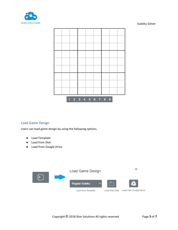



# <span id="page-4-0"></span>Load Game Design

Users can load game design by using the following options.

- Load Template
- Load from Disk
- Load from Google Drive

|  | Load Game Design   |  |                                       |
|--|--------------------|--|---------------------------------------|
|  | Regular Sudoku     |  |                                       |
|  | Load from Template |  | Load from Disk Load from Google Dirve |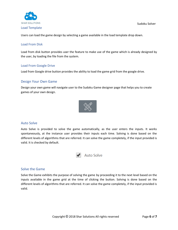



<span id="page-5-1"></span><span id="page-5-0"></span>Users can load the game design by selecting a game available in the load template drop down.

#### Load From Disk

Load from disk button provides user the feature to make use of the game which is already designed by the user, by loading the file from the system.

## <span id="page-5-2"></span>Load From Google Drive

<span id="page-5-3"></span>Load from Google drive button provides the ability to load the game grid from the google drive.

## Design Your Own Game

Design your own game will navigate user to the Sudoku Game designer page that helps you to create games of your own design.



# <span id="page-5-4"></span>Auto Solve

Auto Solve is provided to solve the game automatically, as the user enters the inputs. It works spontaneously, at the instance user provides their inputs each time. Solving is done based on the different levels of algorithms that are referred. It can solve the game completely, if the input provided is valid. It is checked by default.



# <span id="page-5-5"></span>Solve the Game

Solve the Game exhibits the purpose of solving the game by proceeding it to the next level based on the inputs available in the game grid at the time of clicking the button. Solving is done based on the different levels of algorithms that are referred. It can solve the game completely, if the input provided is valid.